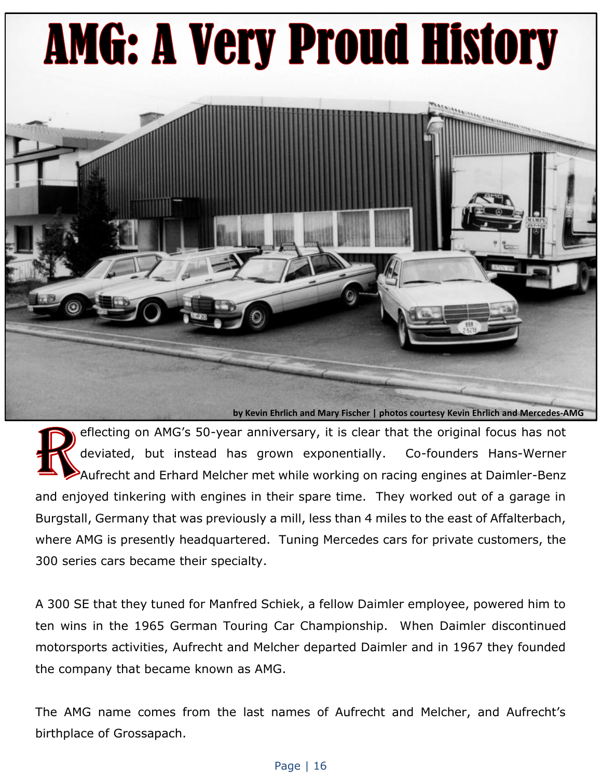## **AMG: A Very Proud History**

**by Kevin Ehrlich and Mary Fischer | photos courtesy Kevin Ehrlich and Mercedes-AMG**

eflecting on AMG's 50-year anniversary, it is clear that the original focus has not deviated, but instead has grown exponentially. Co-founders Hans-Werner Aufrecht and Erhard Melcher met while working on racing engines at Daimler-Benz and enjoyed tinkering with engines in their spare time. They worked out of a garage in Burgstall, Germany that was previously a mill, less than 4 miles to the east of Affalterbach, where AMG is presently headquartered. Tuning Mercedes cars for private customers, the 300 series cars became their specialty.

A 300 SE that they tuned for Manfred Schiek, a fellow Daimler employee, powered him to ten wins in the 1965 German Touring Car Championship. When Daimler discontinued motorsports activities, Aufrecht and Melcher departed Daimler and in 1967 they founded the company that became known as AMG.

The AMG name comes from the last names of Aufrecht and Melcher, and Aufrecht's birthplace of Grossapach.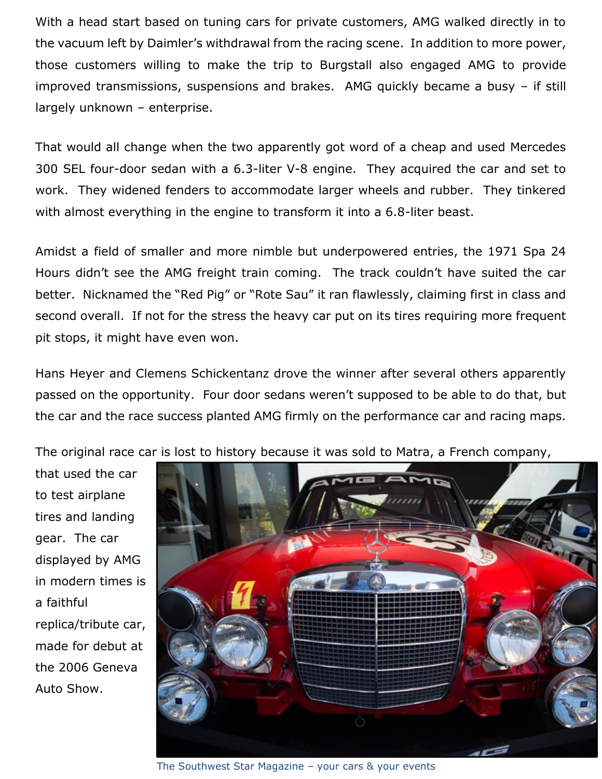With a head start based on tuning cars for private customers, AMG walked directly in to the vacuum left by Daimler's withdrawal from the racing scene. In addition to more power, those customers willing to make the trip to Burgstall also engaged AMG to provide improved transmissions, suspensions and brakes. AMG quickly became a busy – if still largely unknown – enterprise.

That would all change when the two apparently got word of a cheap and used Mercedes 300 SEL four-door sedan with a 6.3-liter V-8 engine. They acquired the car and set to work. They widened fenders to accommodate larger wheels and rubber. They tinkered with almost everything in the engine to transform it into a 6.8-liter beast.

Amidst a field of smaller and more nimble but underpowered entries, the 1971 Spa 24 Hours didn't see the AMG freight train coming. The track couldn't have suited the car better. Nicknamed the "Red Pig" or "Rote Sau" it ran flawlessly, claiming first in class and second overall. If not for the stress the heavy car put on its tires requiring more frequent pit stops, it might have even won.

Hans Heyer and Clemens Schickentanz drove the winner after several others apparently passed on the opportunity. Four door sedans weren't supposed to be able to do that, but the car and the race success planted AMG firmly on the performance car and racing maps.

The original race car is lost to history because it was sold to Matra, a French company,

that used the car to test airplane tires and landing gear. The car displayed by AMG in modern times is a faithful replica/tribute car, made for debut at the 2006 Geneva Auto Show.



The Southwest Star Magazine – your cars & your events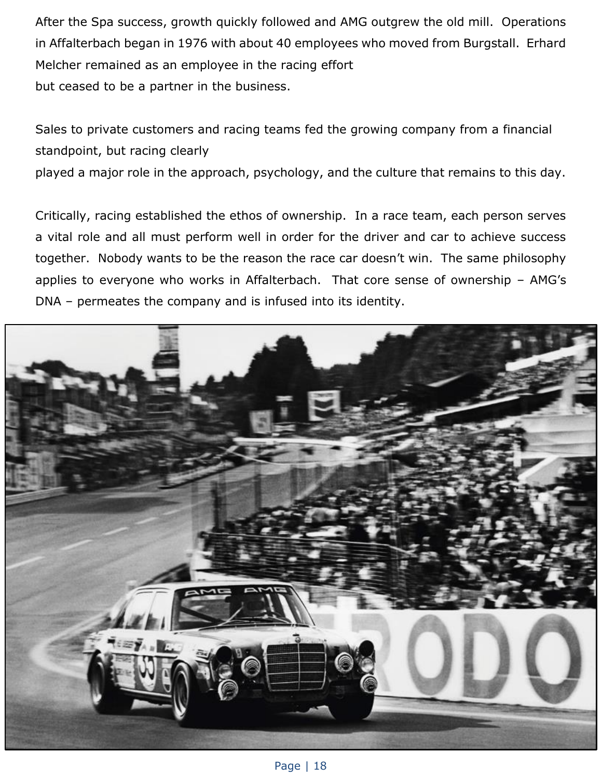After the Spa success, growth quickly followed and AMG outgrew the old mill. Operations in Affalterbach began in 1976 with about 40 employees who moved from Burgstall. Erhard Melcher remained as an employee in the racing effort but ceased to be a partner in the business.

Sales to private customers and racing teams fed the growing company from a financial standpoint, but racing clearly

played a major role in the approach, psychology, and the culture that remains to this day.

Critically, racing established the ethos of ownership. In a race team, each person serves a vital role and all must perform well in order for the driver and car to achieve success together. Nobody wants to be the reason the race car doesn't win. The same philosophy applies to everyone who works in Affalterbach. That core sense of ownership – AMG's DNA – permeates the company and is infused into its identity.

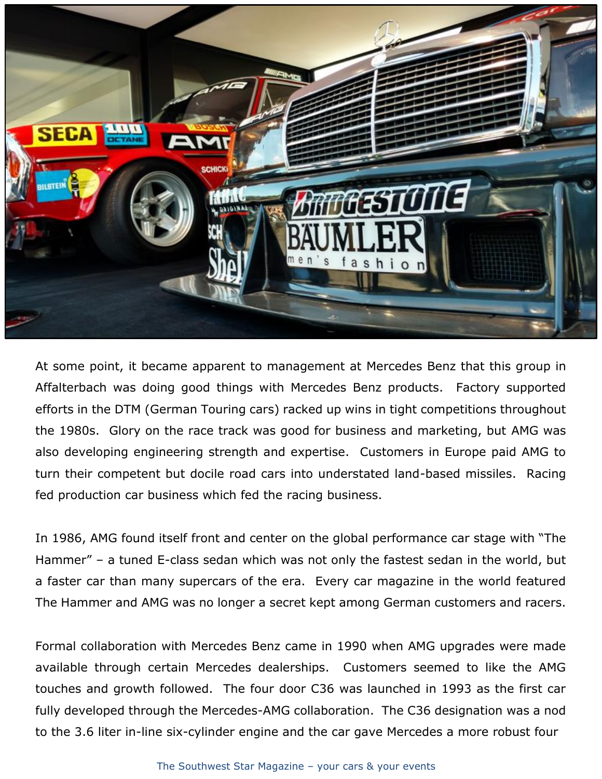

At some point, it became apparent to management at Mercedes Benz that this group in Affalterbach was doing good things with Mercedes Benz products. Factory supported efforts in the DTM (German Touring cars) racked up wins in tight competitions throughout the 1980s. Glory on the race track was good for business and marketing, but AMG was also developing engineering strength and expertise. Customers in Europe paid AMG to turn their competent but docile road cars into understated land-based missiles. Racing fed production car business which fed the racing business.

In 1986, AMG found itself front and center on the global performance car stage with "The Hammer" – a tuned E-class sedan which was not only the fastest sedan in the world, but a faster car than many supercars of the era. Every car magazine in the world featured The Hammer and AMG was no longer a secret kept among German customers and racers.

Formal collaboration with Mercedes Benz came in 1990 when AMG upgrades were made available through certain Mercedes dealerships. Customers seemed to like the AMG touches and growth followed. The four door C36 was launched in 1993 as the first car fully developed through the Mercedes-AMG collaboration. The C36 designation was a nod to the 3.6 liter in-line six-cylinder engine and the car gave Mercedes a more robust four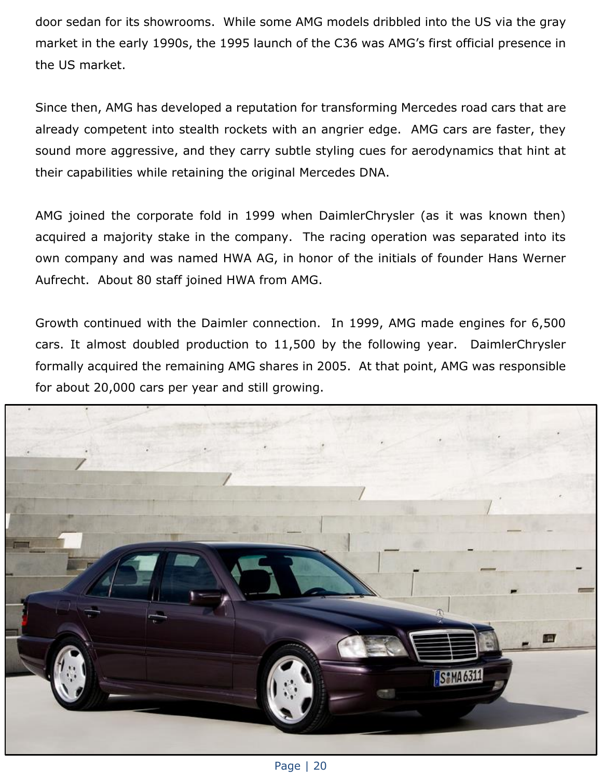door sedan for its showrooms. While some AMG models dribbled into the US via the gray market in the early 1990s, the 1995 launch of the C36 was AMG's first official presence in the US market.

Since then, AMG has developed a reputation for transforming Mercedes road cars that are already competent into stealth rockets with an angrier edge. AMG cars are faster, they sound more aggressive, and they carry subtle styling cues for aerodynamics that hint at their capabilities while retaining the original Mercedes DNA.

AMG joined the corporate fold in 1999 when DaimlerChrysler (as it was known then) acquired a majority stake in the company. The racing operation was separated into its own company and was named HWA AG, in honor of the initials of founder Hans Werner Aufrecht. About 80 staff joined HWA from AMG.

Growth continued with the Daimler connection. In 1999, AMG made engines for 6,500 cars. It almost doubled production to 11,500 by the following year. DaimlerChrysler formally acquired the remaining AMG shares in 2005. At that point, AMG was responsible for about 20,000 cars per year and still growing.

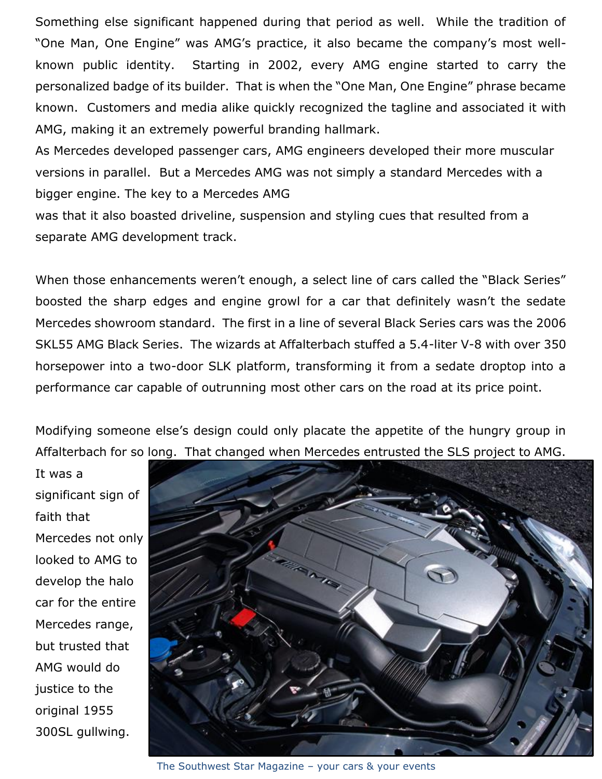Something else significant happened during that period as well. While the tradition of "One Man, One Engine" was AMG's practice, it also became the company's most wellknown public identity. Starting in 2002, every AMG engine started to carry the personalized badge of its builder. That is when the "One Man, One Engine" phrase became known. Customers and media alike quickly recognized the tagline and associated it with AMG, making it an extremely powerful branding hallmark.

As Mercedes developed passenger cars, AMG engineers developed their more muscular versions in parallel. But a Mercedes AMG was not simply a standard Mercedes with a bigger engine. The key to a Mercedes AMG

was that it also boasted driveline, suspension and styling cues that resulted from a separate AMG development track.

When those enhancements weren't enough, a select line of cars called the "Black Series" boosted the sharp edges and engine growl for a car that definitely wasn't the sedate Mercedes showroom standard. The first in a line of several Black Series cars was the 2006 SKL55 AMG Black Series. The wizards at Affalterbach stuffed a 5.4-liter V-8 with over 350 horsepower into a two-door SLK platform, transforming it from a sedate droptop into a performance car capable of outrunning most other cars on the road at its price point.

Modifying someone else's design could only placate the appetite of the hungry group in Affalterbach for so long. That changed when Mercedes entrusted the SLS project to AMG.

It was a significant sign of faith that Mercedes not only looked to AMG to develop the halo car for the entire Mercedes range, but trusted that AMG would do justice to the original 1955 300SL gullwing.



The Southwest Star Magazine – your cars & your events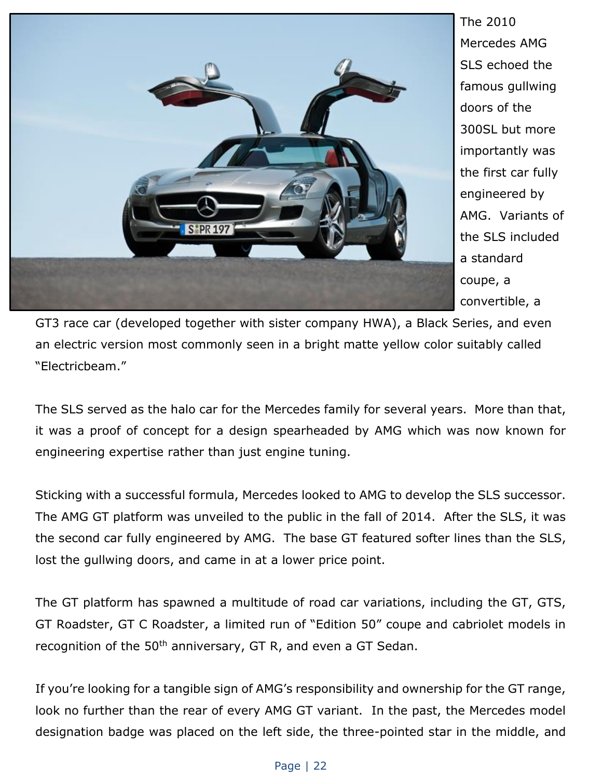

The 2010 Mercedes AMG SLS echoed the famous gullwing doors of the 300SL but more importantly was the first car fully engineered by AMG. Variants of the SLS included a standard coupe, a convertible, a

GT3 race car (developed together with sister company HWA), a Black Series, and even an electric version most commonly seen in a bright matte yellow color suitably called "Electricbeam."

The SLS served as the halo car for the Mercedes family for several years. More than that, it was a proof of concept for a design spearheaded by AMG which was now known for engineering expertise rather than just engine tuning.

Sticking with a successful formula, Mercedes looked to AMG to develop the SLS successor. The AMG GT platform was unveiled to the public in the fall of 2014. After the SLS, it was the second car fully engineered by AMG. The base GT featured softer lines than the SLS, lost the gullwing doors, and came in at a lower price point.

The GT platform has spawned a multitude of road car variations, including the GT, GTS, GT Roadster, GT C Roadster, a limited run of "Edition 50" coupe and cabriolet models in recognition of the 50<sup>th</sup> anniversary, GT R, and even a GT Sedan.

If you're looking for a tangible sign of AMG's responsibility and ownership for the GT range, look no further than the rear of every AMG GT variant. In the past, the Mercedes model designation badge was placed on the left side, the three-pointed star in the middle, and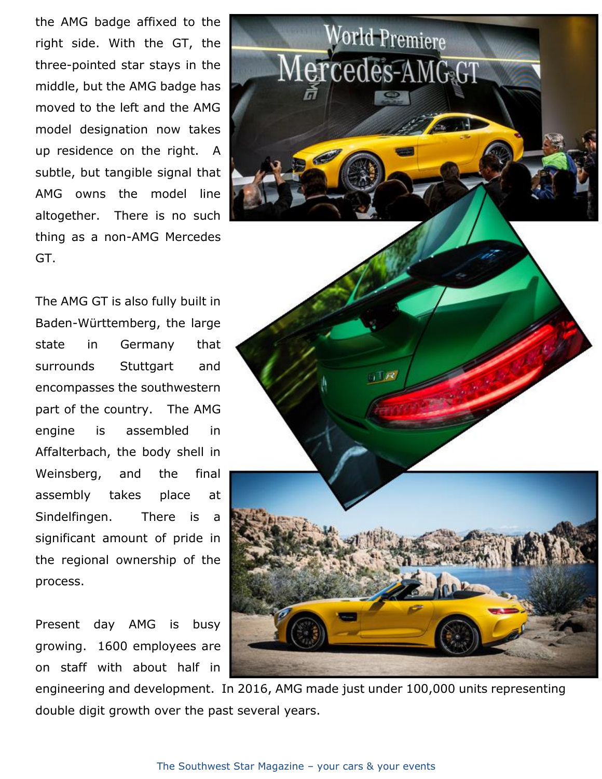the AMG badge affixed to the right side. With the GT, the three-pointed star stays in the middle, but the AMG badge has moved to the left and the AMG model designation now takes up residence on the right. A subtle, but tangible signal that AMG owns the model line altogether. There is no such thing as a non-AMG Mercedes GT.

The AMG GT is also fully built in Baden-Württemberg, the large state in Germany that surrounds Stuttgart and encompasses the southwestern part of the country. The AMG engine is assembled in Affalterbach, the body shell in Weinsberg, and the final assembly takes place at Sindelfingen. There is a significant amount of pride in the regional ownership of the process.

Present day AMG is busy growing. 1600 employees are on staff with about half in





engineering and development. In 2016, AMG made just under 100,000 units representing double digit growth over the past several years.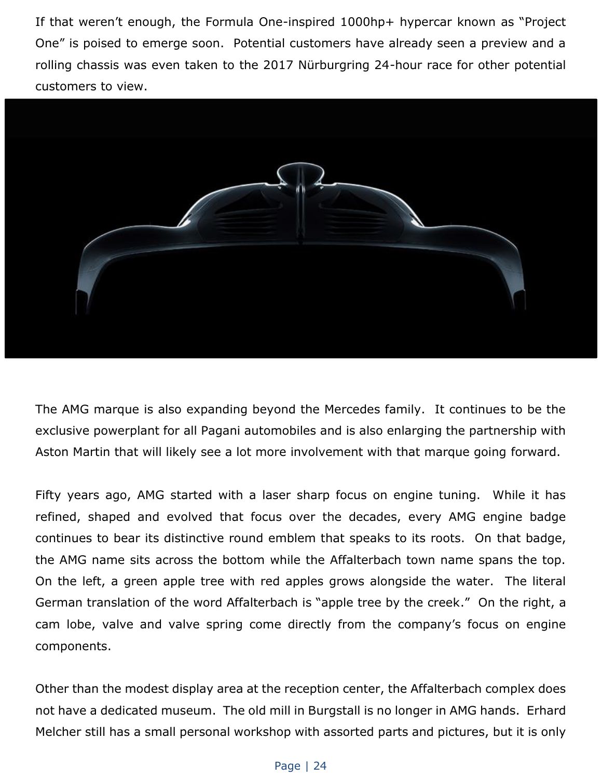If that weren't enough, the Formula One-inspired 1000hp+ hypercar known as "Project One" is poised to emerge soon. Potential customers have already seen a preview and a rolling chassis was even taken to the 2017 Nürburgring 24-hour race for other potential customers to view.



The AMG marque is also expanding beyond the Mercedes family. It continues to be the exclusive powerplant for all Pagani automobiles and is also enlarging the partnership with Aston Martin that will likely see a lot more involvement with that marque going forward.

Fifty years ago, AMG started with a laser sharp focus on engine tuning. While it has refined, shaped and evolved that focus over the decades, every AMG engine badge continues to bear its distinctive round emblem that speaks to its roots. On that badge, the AMG name sits across the bottom while the Affalterbach town name spans the top. On the left, a green apple tree with red apples grows alongside the water. The literal German translation of the word Affalterbach is "apple tree by the creek." On the right, a cam lobe, valve and valve spring come directly from the company's focus on engine components.

Other than the modest display area at the reception center, the Affalterbach complex does not have a dedicated museum. The old mill in Burgstall is no longer in AMG hands. Erhard Melcher still has a small personal workshop with assorted parts and pictures, but it is only